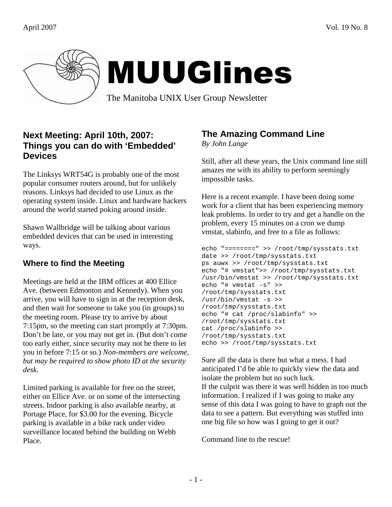

# MUUGlines

The Manitoba UNIX User Group Newsletter

#### **Next Meeting: April 10th, 2007: Things you can do with 'Embedded' Devices**

The Linksys WRT54G is probably one of the most popular consumer routers around, but for unlikely reasons. Linksys had decided to use Linux as the operating system inside. Linux and hardware hackers around the world started poking around inside.

Shawn Wallbridge will be talking about various embedded devices that can be used in interesting ways.

#### **Where to find the Meeting**

Meetings are held at the IBM offices at 400 Ellice Ave. (between Edmonton and Kennedy). When you arrive, you will have to sign in at the reception desk, and then wait for someone to take you (in groups) to the meeting room. Please try to arrive by about 7:15pm, so the meeting can start promptly at 7:30pm. Don't be late, or you may not get in. (But don't come too early either, since security may not be there to let you in before 7:15 or so.) *Non-members are welcome, but may be required to show photo ID at the security desk.*

Limited parking is available for free on the street, either on Ellice Ave. or on some of the intersecting streets. Indoor parking is also available nearby, at Portage Place, for \$3.00 for the evening. Bicycle parking is available in a bike rack under video surveillance located behind the building on Webb Place.

## **The Amazing Command Line**

*By John Lange* 

Still, after all these years, the Unix command line still amazes me with its ability to perform seemingly impossible tasks.

Here is a recent example. I have been doing some work for a client that has been experiencing memory leak problems. In order to try and get a handle on the problem, every 15 minutes on a cron we dump vmstat, slabinfo, and free to a file as follows:

```
echo "========" >> /root/tmp/sysstats.txt 
date >> /root/tmp/sysstats.txt 
ps auwx >> /root/tmp/sysstats.txt 
echo "# vmstat">> /root/tmp/sysstats.txt 
/usr/bin/vmstat >> /root/tmp/sysstats.txt 
echo "# vmstat -s" >> 
/root/tmp/sysstats.txt 
/usr/bin/vmstat -s >> 
/root/tmp/sysstats.txt 
echo "# cat /proc/slabinfo" >> 
/root/tmp/sysstats.txt 
cat /proc/slabinfo >> 
/root/tmp/sysstats.txt 
echo >> /root/tmp/sysstats.txt
```
Sure all the data is there but what a mess. I had anticipated I'd be able to quickly view the data and isolate the problem but no such luck. If the culprit was there it was well hidden in too much information. I realized if I was going to make any sense of this data I was going to have to graph out the data to see a pattern. But everything was stuffed into one big file so how was I going to get it out?

Command line to the rescue!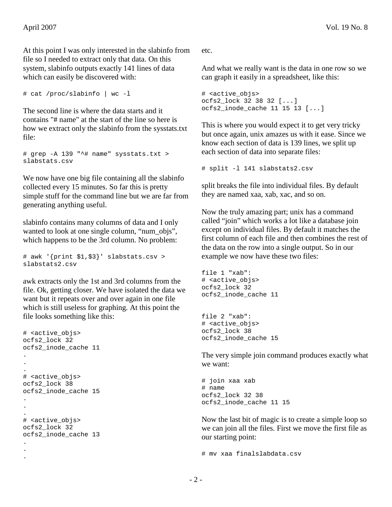At this point I was only interested in the slabinfo from file so I needed to extract only that data. On this system, slabinfo outputs exactly 141 lines of data which can easily be discovered with:

# cat /proc/slabinfo | wc -l

The second line is where the data starts and it contains "# name" at the start of the line so here is how we extract only the slabinfo from the sysstats.txt file:

```
# grep -A 139 "^# name" sysstats.txt > 
slabstats.csv
```
We now have one big file containing all the slabinfo collected every 15 minutes. So far this is pretty simple stuff for the command line but we are far from generating anything useful.

slabinfo contains many columns of data and I only wanted to look at one single column, "num\_objs", which happens to be the 3rd column. No problem:

# awk '{print \$1,\$3}' slabstats.csv > slabstats2.csv

awk extracts only the 1st and 3rd columns from the file. Ok, getting closer. We have isolated the data we want but it repeats over and over again in one file which is still useless for graphing. At this point the file looks something like this:

```
# <active_objs> 
ocfs2_lock 32 
ocfs2_inode_cache 11 
. 
. 
. 
# <active_objs> 
ocfs2_lock 38 
ocfs2_inode_cache 15 
. 
. 
. 
# <active_objs> 
ocfs2_lock 32 
ocfs2_inode_cache 13 
. 
. 
.
```
etc.

And what we really want is the data in one row so we can graph it easily in a spreadsheet, like this:

```
# <active_objs> 
ocfs2_lock 32 38 32 [...] 
ocfs2_inode_cache 11 15 13 [...]
```
This is where you would expect it to get very tricky but once again, unix amazes us with it ease. Since we know each section of data is 139 lines, we split up each section of data into separate files:

```
# split -l 141 slabstats2.csv
```
split breaks the file into individual files. By default they are named xaa, xab, xac, and so on.

Now the truly amazing part; unix has a command called "join" which works a lot like a database join except on individual files. By default it matches the first column of each file and then combines the rest of the data on the row into a single output. So in our example we now have these two files:

```
file 1 "xab": 
# <active_objs> 
ocfs2_lock 32 
ocfs2_inode_cache 11 
file 2 "xab": 
# <active_objs> 
ocfs2_lock 38 
ocfs2_inode_cache 15
```
The very simple join command produces exactly what we want:

# join xaa xab # name ocfs2\_lock 32 38 ocfs2\_inode\_cache 11 15

Now the last bit of magic is to create a simple loop so we can join all the files. First we move the first file as our starting point:

```
# mv xaa finalslabdata.csv
```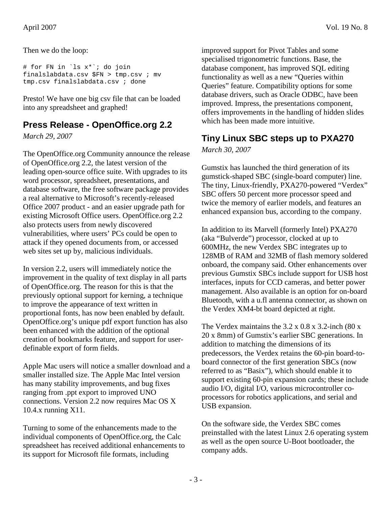Then we do the loop:

# for FN in `ls x\*`; do join finalslabdata.csv \$FN > tmp.csv ; mv tmp.csv finalslabdata.csv ; done

Presto! We have one big csv file that can be loaded into any spreadsheet and graphed!

#### **Press Release - OpenOffice.org 2.2**

*March 29, 2007* 

The OpenOffice.org Community announce the release of OpenOffice.org 2.2, the latest version of the leading open-source office suite. With upgrades to its word processor, spreadsheet, presentations, and database software, the free software package provides a real alternative to Microsoft's recently-released Office 2007 product - and an easier upgrade path for existing Microsoft Office users. OpenOffice.org 2.2 also protects users from newly discovered vulnerabilities, where users' PCs could be open to attack if they opened documents from, or accessed web sites set up by, malicious individuals.

In version 2.2, users will immediately notice the improvement in the quality of text display in all parts of OpenOffice.org. The reason for this is that the previously optional support for kerning, a technique to improve the appearance of text written in proportional fonts, has now been enabled by default. OpenOffice.org's unique pdf export function has also been enhanced with the addition of the optional creation of bookmarks feature, and support for userdefinable export of form fields.

Apple Mac users will notice a smaller download and a smaller installed size. The Apple Mac Intel version has many stability improvements, and bug fixes ranging from .ppt export to improved UNO connections. Version 2.2 now requires Mac OS X 10.4.x running X11.

Turning to some of the enhancements made to the individual components of OpenOffice.org, the Calc spreadsheet has received additional enhancements to its support for Microsoft file formats, including

improved support for Pivot Tables and some specialised trigonometric functions. Base, the database component, has improved SQL editing functionality as well as a new "Queries within Queries" feature. Compatibility options for some database drivers, such as Oracle ODBC, have been improved. Impress, the presentations component, offers improvements in the handling of hidden slides which has been made more intuitive.

## **Tiny Linux SBC steps up to PXA270**

*March 30, 2007* 

Gumstix has launched the third generation of its gumstick-shaped SBC (single-board computer) line. The tiny, Linux-friendly, PXA270-powered "Verdex" SBC offers 50 percent more processor speed and twice the memory of earlier models, and features an enhanced expansion bus, according to the company.

In addition to its Marvell (formerly Intel) PXA270 (aka "Bulverde") processor, clocked at up to 600MHz, the new Verdex SBC integrates up to 128MB of RAM and 32MB of flash memory soldered onboard, the company said. Other enhancements over previous Gumstix SBCs include support for USB host interfaces, inputs for CCD cameras, and better power management. Also available is an option for on-board Bluetooth, with a u.fl antenna connector, as shown on the Verdex XM4-bt board depicted at right.

The Verdex maintains the 3.2 x 0.8 x 3.2-inch (80 x 20 x 8mm) of Gumstix's earlier SBC generations. In addition to matching the dimensions of its predecessors, the Verdex retains the 60-pin board-toboard connector of the first generation SBCs (now referred to as "Basix"), which should enable it to support existing 60-pin expansion cards; these include audio I/O, digital I/O, various microcontroller coprocessors for robotics applications, and serial and USB expansion.

On the software side, the Verdex SBC comes preinstalled with the latest Linux 2.6 operating system as well as the open source U-Boot bootloader, the company adds.